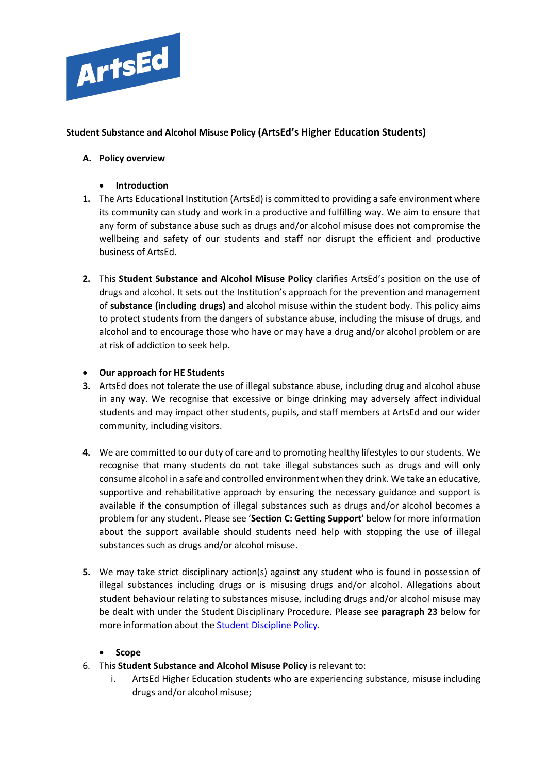

# **Student Substance and Alcohol Misuse Policy (ArtsEd's Higher Education Students)**

# **A. Policy overview**

- **Introduction**
- **1.** The Arts Educational Institution (ArtsEd) is committed to providing a safe environment where its community can study and work in a productive and fulfilling way. We aim to ensure that any form of substance abuse such as drugs and/or alcohol misuse does not compromise the wellbeing and safety of our students and staff nor disrupt the efficient and productive business of ArtsEd.
- **2.** This **Student Substance and Alcohol Misuse Policy** clarifies ArtsEd's position on the use of drugs and alcohol. It sets out the Institution's approach for the prevention and management of **substance (including drugs)** and alcohol misuse within the student body. This policy aims to protect students from the dangers of substance abuse, including the misuse of drugs, and alcohol and to encourage those who have or may have a drug and/or alcohol problem or are at risk of addiction to seek help.

### • **Our approach for HE Students**

- **3.** ArtsEd does not tolerate the use of illegal substance abuse, including drug and alcohol abuse in any way. We recognise that excessive or binge drinking may adversely affect individual students and may impact other students, pupils, and staff members at ArtsEd and our wider community, including visitors.
- **4.** We are committed to our duty of care and to promoting healthy lifestyles to our students. We recognise that many students do not take illegal substances such as drugs and will only consume alcohol in a safe and controlled environmentwhen they drink. We take an educative, supportive and rehabilitative approach by ensuring the necessary guidance and support is available if the consumption of illegal substances such as drugs and/or alcohol becomes a problem for any student. Please see '**Section C: Getting Support'** below for more information about the support available should students need help with stopping the use of illegal substances such as drugs and/or alcohol misuse.
- **5.** We may take strict disciplinary action(s) against any student who is found in possession of illegal substances including drugs or is misusing drugs and/or alcohol. Allegations about student behaviour relating to substances misuse, including drugs and/or alcohol misuse may be dealt with under the Student Disciplinary Procedure. Please see **paragraph 23** below for more information about the [Student Discipline](https://artsed003.blob.core.windows.net/policy/student-discipline-policy.pdf) Policy.

#### • **Scope**

- 6. This **Student Substance and Alcohol Misuse Policy** is relevant to:
	- i. ArtsEd Higher Education students who are experiencing substance, misuse including drugs and/or alcohol misuse;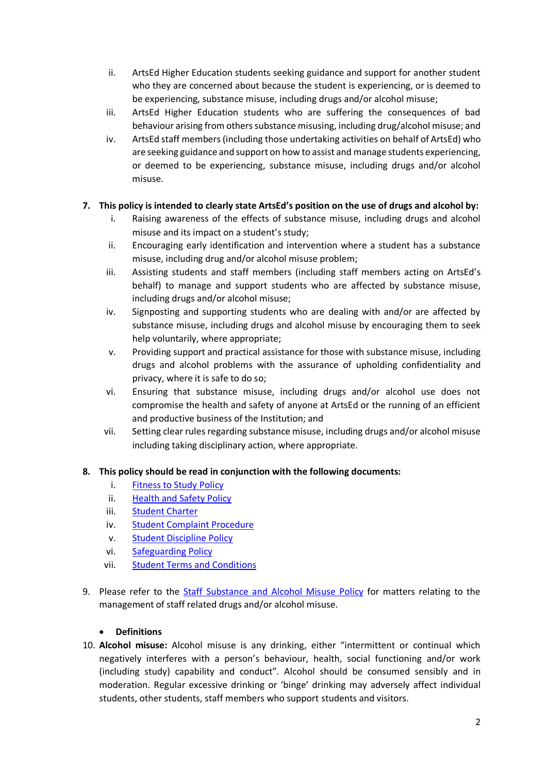- ii. ArtsEd Higher Education students seeking guidance and support for another student who they are concerned about because the student is experiencing, or is deemed to be experiencing, substance misuse, including drugs and/or alcohol misuse;
- iii. ArtsEd Higher Education students who are suffering the consequences of bad behaviour arising from others substance misusing, including drug/alcohol misuse; and
- iv. ArtsEd staff members (including those undertaking activities on behalf of ArtsEd) who are seeking guidance and support on how to assist and manage students experiencing, or deemed to be experiencing, substance misuse, including drugs and/or alcohol misuse.

# **7. This policy is intended to clearly state ArtsEd's position on the use of drugs and alcohol by:**

- i. Raising awareness of the effects of substance misuse, including drugs and alcohol misuse and its impact on a student's study;
- ii. Encouraging early identification and intervention where a student has a substance misuse, including drug and/or alcohol misuse problem;
- iii. Assisting students and staff members (including staff members acting on ArtsEd's behalf) to manage and support students who are affected by substance misuse, including drugs and/or alcohol misuse;
- iv. Signposting and supporting students who are dealing with and/or are affected by substance misuse, including drugs and alcohol misuse by encouraging them to seek help voluntarily, where appropriate;
- v. Providing support and practical assistance for those with substance misuse, including drugs and alcohol problems with the assurance of upholding confidentiality and privacy, where it is safe to do so;
- vi. Ensuring that substance misuse, including drugs and/or alcohol use does not compromise the health and safety of anyone at ArtsEd or the running of an efficient and productive business of the Institution; and
- vii. Setting clear rules regarding substance misuse, including drugs and/or alcohol misuse including taking disciplinary action, where appropriate.

# **8. This policy should be read in conjunction with the following documents:**

- i. [Fitness to Study Policy](https://artsed003.blob.core.windows.net/policy/fitness-to-study-policy.pdf)
- ii. [Health and Safety Policy](https://artsed003.blob.core.windows.net/policy/health-and-safety-policy.pdf)
- iii. [Student Charter](https://artsed003.blob.core.windows.net/policy/student-charter.pdf)
- iv. [Student Complaint Procedure](https://artsed003.blob.core.windows.net/policy/student-complaint-procedure.pdf)
- v. [Student Discipline Policy](https://artsed003.blob.core.windows.net/policy/student-discipline-policy.pdf)
- vi. [Safeguarding Policy](https://artsed003.blob.core.windows.net/policy/safeguarding-policy.pdf)
- vii. [Student Terms and Conditions](https://artsed003.blob.core.windows.net/policy/student-terms-and-conditions.pdf)
- 9. Please refer to the [Staff Substance and Alcohol Misuse Policy](https://artsed003.blob.core.windows.net/policy/staff-substance-and-alcohol-misuse-policy.pdf) for matters relating to the management of staff related drugs and/or alcohol misuse.

# • **Definitions**

10. **Alcohol misuse:** Alcohol misuse is any drinking, either "intermittent or continual which negatively interferes with a person's behaviour, health, social functioning and/or work (including study) capability and conduct". Alcohol should be consumed sensibly and in moderation. Regular excessive drinking or 'binge' drinking may adversely affect individual students, other students, staff members who support students and visitors.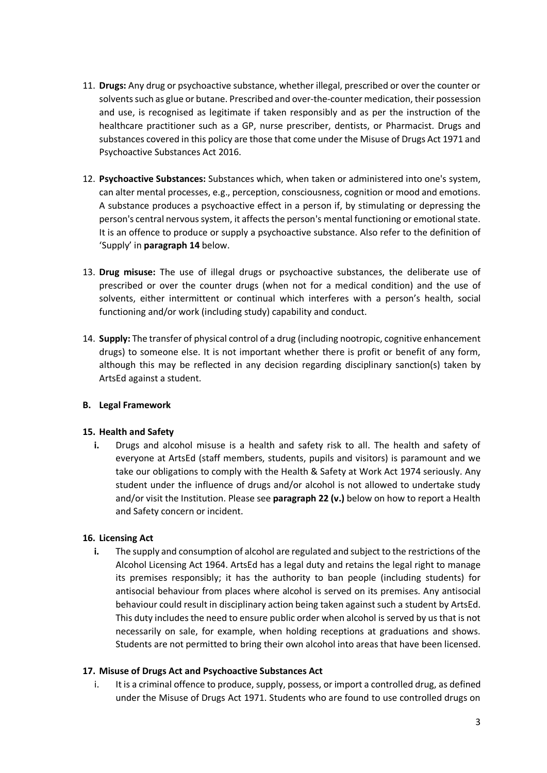- 11. **Drugs:** Any drug or psychoactive substance, whether illegal, prescribed or over the counter or solvents such as glue or butane. Prescribed and over-the-counter medication, their possession and use, is recognised as legitimate if taken responsibly and as per the instruction of the healthcare practitioner such as a GP, nurse prescriber, dentists, or Pharmacist. Drugs and substances covered in this policy are those that come under the Misuse of Drugs Act 1971 and Psychoactive Substances Act 2016.
- 12. **Psychoactive Substances:** Substances which, when taken or administered into one's system, can alter mental processes, e.g., perception, consciousness, cognition or mood and emotions. A substance produces a psychoactive effect in a person if, by stimulating or depressing the person's central nervous system, it affects the person's mental functioning or emotional state. It is an offence to produce or supply a psychoactive substance. Also refer to the definition of 'Supply' in **paragraph 14** below.
- 13. **Drug misuse:** The use of illegal drugs or psychoactive substances, the deliberate use of prescribed or over the counter drugs (when not for a medical condition) and the use of solvents, either intermittent or continual which interferes with a person's health, social functioning and/or work (including study) capability and conduct.
- 14. **Supply:** The transfer of physical control of a drug (including nootropic, cognitive enhancement drugs) to someone else. It is not important whether there is profit or benefit of any form, although this may be reflected in any decision regarding disciplinary sanction(s) taken by ArtsEd against a student.

# **B. Legal Framework**

# **15. Health and Safety**

**i.** Drugs and alcohol misuse is a health and safety risk to all. The health and safety of everyone at ArtsEd (staff members, students, pupils and visitors) is paramount and we take our obligations to comply with the Health & Safety at Work Act 1974 seriously. Any student under the influence of drugs and/or alcohol is not allowed to undertake study and/or visit the Institution. Please see **paragraph 22 (v.)** below on how to report a Health and Safety concern or incident.

# **16. Licensing Act**

**i.** The supply and consumption of alcohol are regulated and subject to the restrictions of the Alcohol Licensing Act 1964. ArtsEd has a legal duty and retains the legal right to manage its premises responsibly; it has the authority to ban people (including students) for antisocial behaviour from places where alcohol is served on its premises. Any antisocial behaviour could result in disciplinary action being taken against such a student by ArtsEd. This duty includes the need to ensure public order when alcohol is served by us that is not necessarily on sale, for example, when holding receptions at graduations and shows. Students are not permitted to bring their own alcohol into areas that have been licensed.

#### **17. Misuse of Drugs Act and Psychoactive Substances Act**

i. It is a criminal offence to produce, supply, possess, or import a controlled drug, as defined under the Misuse of Drugs Act 1971. Students who are found to use controlled drugs on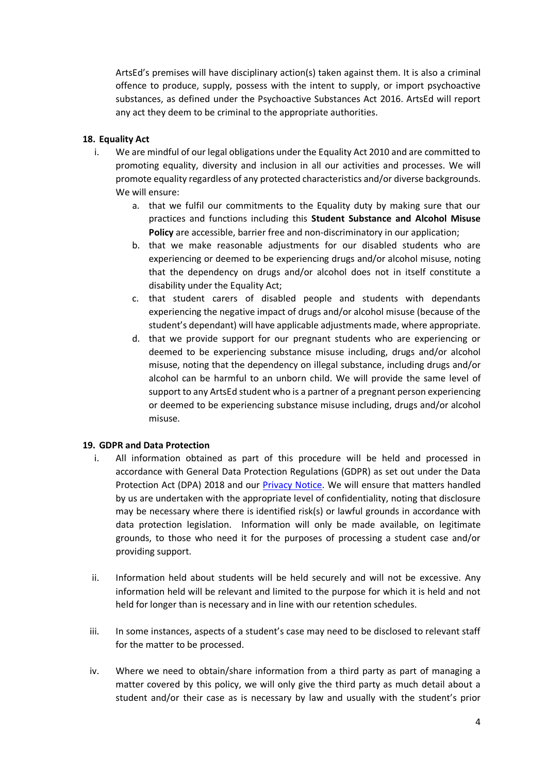ArtsEd's premises will have disciplinary action(s) taken against them. It is also a criminal offence to produce, supply, possess with the intent to supply, or import psychoactive substances, as defined under the Psychoactive Substances Act 2016. ArtsEd will report any act they deem to be criminal to the appropriate authorities.

### **18. Equality Act**

- i. We are mindful of our legal obligations under the Equality Act 2010 and are committed to promoting equality, diversity and inclusion in all our activities and processes. We will promote equality regardless of any protected characteristics and/or diverse backgrounds. We will ensure:
	- a. that we fulfil our commitments to the Equality duty by making sure that our practices and functions including this **Student Substance and Alcohol Misuse Policy** are accessible, barrier free and non-discriminatory in our application;
	- b. that we make reasonable adjustments for our disabled students who are experiencing or deemed to be experiencing drugs and/or alcohol misuse, noting that the dependency on drugs and/or alcohol does not in itself constitute a disability under the Equality Act;
	- c. that student carers of disabled people and students with dependants experiencing the negative impact of drugs and/or alcohol misuse (because of the student's dependant) will have applicable adjustments made, where appropriate.
	- d. that we provide support for our pregnant students who are experiencing or deemed to be experiencing substance misuse including, drugs and/or alcohol misuse, noting that the dependency on illegal substance, including drugs and/or alcohol can be harmful to an unborn child. We will provide the same level of support to any ArtsEd student who is a partner of a pregnant person experiencing or deemed to be experiencing substance misuse including, drugs and/or alcohol misuse.

#### **19. GDPR and Data Protection**

- i. All information obtained as part of this procedure will be held and processed in accordance with General Data Protection Regulations (GDPR) as set out under the Data Protection Act (DPA) 2018 and our [Privacy Notice.](https://artsed003.blob.core.windows.net/policy/privacy-notice.pdf) We will ensure that matters handled by us are undertaken with the appropriate level of confidentiality, noting that disclosure may be necessary where there is identified risk(s) or lawful grounds in accordance with data protection legislation. Information will only be made available, on legitimate grounds, to those who need it for the purposes of processing a student case and/or providing support.
- ii. Information held about students will be held securely and will not be excessive. Any information held will be relevant and limited to the purpose for which it is held and not held for longer than is necessary and in line with our retention schedules.
- iii. In some instances, aspects of a student's case may need to be disclosed to relevant staff for the matter to be processed.
- iv. Where we need to obtain/share information from a third party as part of managing a matter covered by this policy, we will only give the third party as much detail about a student and/or their case as is necessary by law and usually with the student's prior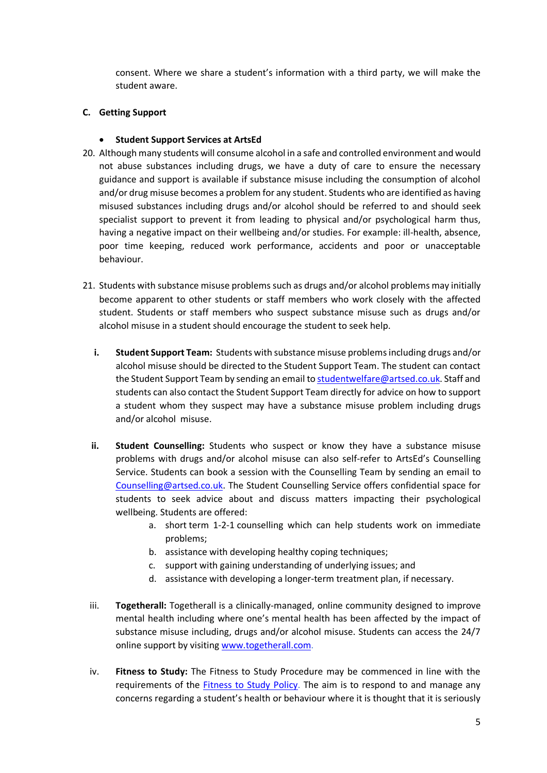consent. Where we share a student's information with a third party, we will make the student aware.

### **C. Getting Support**

### • **Student Support Services at ArtsEd**

- 20. Although many students will consume alcohol in a safe and controlled environment and would not abuse substances including drugs, we have a duty of care to ensure the necessary guidance and support is available if substance misuse including the consumption of alcohol and/or drug misuse becomes a problem for any student. Students who are identified as having misused substances including drugs and/or alcohol should be referred to and should seek specialist support to prevent it from leading to physical and/or psychological harm thus, having a negative impact on their wellbeing and/or studies. For example: ill-health, absence, poor time keeping, reduced work performance, accidents and poor or unacceptable behaviour.
- 21. Students with substance misuse problems such as drugs and/or alcohol problems may initially become apparent to other students or staff members who work closely with the affected student. Students or staff members who suspect substance misuse such as drugs and/or alcohol misuse in a student should encourage the student to seek help.
	- **i. Student Support Team:** Students with substance misuse problems including drugs and/or alcohol misuse should be directed to the Student Support Team. The student can contact the Student Support Team by sending an email t[o studentwelfare@artsed.co.uk.](mailto:studentwelfare@artsed.co.uk) Staff and students can also contact the Student Support Team directly for advice on how to support a student whom they suspect may have a substance misuse problem including drugs and/or alcohol misuse.
	- **ii. Student Counselling:** Students who suspect or know they have a substance misuse problems with drugs and/or alcohol misuse can also self-refer to ArtsEd's Counselling Service. Students can book a session with the Counselling Team by sending an email to [Counselling@artsed.co.uk.](mailto:Counselling@artsed.co.uk) The Student Counselling Service offers confidential space for students to seek advice about and discuss matters impacting their psychological wellbeing. Students are offered:
		- a. short term 1-2-1 counselling which can help students work on immediate problems;
		- b. assistance with developing healthy coping techniques;
		- c. support with gaining understanding of underlying issues; and
		- d. assistance with developing a longer-term treatment plan, if necessary.
	- iii. **Togetherall:** Togetherall is a clinically-managed, online community designed to improve mental health including where one's mental health has been affected by the impact of substance misuse including, drugs and/or alcohol misuse. Students can access the 24/7 online support by visiting [www.togetherall.com.](http://www.togetherall.com/)
	- iv. **Fitness to Study:** The Fitness to Study Procedure may be commenced in line with the requirements of the [Fitness to Study Policy.](https://artsed003.blob.core.windows.net/policy/fitness-to-study-policy.pdf) The aim is to respond to and manage any concerns regarding a student's health or behaviour where it is thought that it is seriously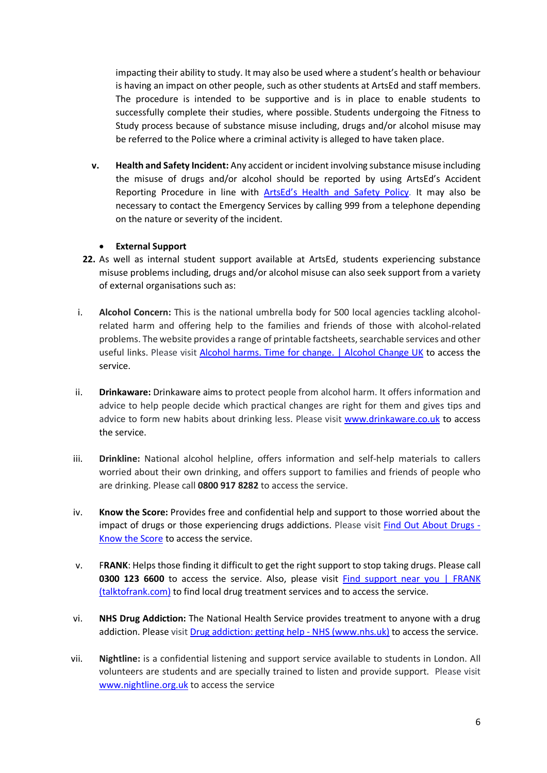impacting their ability to study. It may also be used where a student's health or behaviour is having an impact on other people, such as other students at ArtsEd and staff members. The procedure is intended to be supportive and is in place to enable students to successfully complete their studies, where possible. Students undergoing the Fitness to Study process because of substance misuse including, drugs and/or alcohol misuse may be referred to the Police where a criminal activity is alleged to have taken place.

**v. Health and Safety Incident:** Any accident or incident involving substance misuse including the misuse of drugs and/or alcohol should be reported by using ArtsEd's Accident Reporting Procedure in line with [ArtsEd's Health and Safety Policy.](https://artsed003.blob.core.windows.net/policy/health-and-safety-policy.pdf) It may also be necessary to contact the Emergency Services by calling 999 from a telephone depending on the nature or severity of the incident.

### • **External Support**

- **22.** As well as internal student support available at ArtsEd, students experiencing substance misuse problems including, drugs and/or alcohol misuse can also seek support from a variety of external organisations such as:
- i. **Alcohol Concern:** This is the national umbrella body for 500 local agencies tackling alcoholrelated harm and offering help to the families and friends of those with alcohol-related problems. The website provides a range of printable factsheets, searchable services and other useful links. Please visit [Alcohol harms. Time for change. | Alcohol Change UK](https://alcoholchange.org.uk/) to access the service.
- ii. **Drinkaware:** Drinkaware aims to protect people from alcohol harm. It offers information and advice to help people decide which practical changes are right for them and gives tips and advice to form new habits about drinking less. Please visit [www.drinkaware.co.uk](http://www.drinkaware.co.uk/) to access the service.
- iii. **Drinkline:** National alcohol helpline, offers information and self-help materials to callers worried about their own drinking, and offers support to families and friends of people who are drinking. Please call **0800 917 8282** to access the service.
- iv. **Know the Score:** Provides free and confidential help and support to those worried about the impact of drugs or those experiencing drugs addictions. Please visit [Find Out About Drugs -](https://www.knowthescore.info/) [Know the Score](https://www.knowthescore.info/) to access the service.
- v. F**RANK**: Helps those finding it difficult to get the right support to stop taking drugs. Please call **0300 123 6600** to access the service. Also, please visit Find support near you | FRANK [\(talktofrank.com\)](https://www.talktofrank.com/get-help/find-support-near-you) to find local drug treatment services and to access the service.
- vi. **NHS Drug Addiction:** The National Health Service provides treatment to anyone with a drug addiction. Please visit [Drug addiction: getting help -](https://www.nhs.uk/live-well/healthy-body/drug-addiction-getting-help/) NHS (www.nhs.uk) to access the service.
- vii. **Nightline:** is a confidential listening and support service available to students in London. All volunteers are students and are specially trained to listen and provide support. Please visit [www.nightline.org.uk](http://www.nightline.org.uk/) to access the service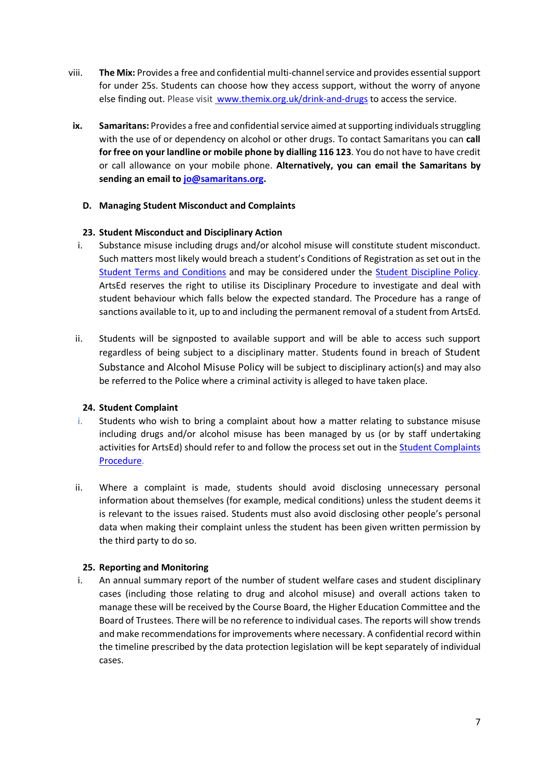- viii. **The Mix:** Provides a free and confidential multi-channel service and provides essential support for under 25s. Students can choose how they access support, without the worry of anyone else finding out. Please visit www.themix.org.uk/drink-and-drugs to access the service.
- **ix. Samaritans:** Provides a free and confidential service aimed at supporting individuals struggling with the use of or dependency on alcohol or other drugs. To contact Samaritans you can **call for free on your landline or mobile phone by dialling 116 123**. You do not have to have credit or call allowance on your mobile phone. **Alternatively, you can email the Samaritans by sending an email to [jo@samaritans.org.](mailto:jo@samaritans.org)**

### **D. Managing Student Misconduct and Complaints**

### **23. Student Misconduct and Disciplinary Action**

- i. Substance misuse including drugs and/or alcohol misuse will constitute student misconduct. Such matters most likely would breach a student's Conditions of Registration as set out in the Student Terms and Conditions and may be considered under the [Student Discipline](https://artsed003.blob.core.windows.net/policy/student-discipline-policy.pdf) Policy. ArtsEd reserves the right to utilise its Disciplinary Procedure to investigate and deal with student behaviour which falls below the expected standard. The Procedure has a range of sanctions available to it, up to and including the permanent removal of a student from ArtsEd.
- ii. Students will be signposted to available support and will be able to access such support regardless of being subject to a disciplinary matter. Students found in breach of Student Substance and Alcohol Misuse Policy will be subject to disciplinary action(s) and may also be referred to the Police where a criminal activity is alleged to have taken place.

#### **24. Student Complaint**

- i. Students who wish to bring a complaint about how a matter relating to substance misuse including drugs and/or alcohol misuse has been managed by us (or by staff undertaking activities for ArtsEd) should refer to and follow the process set out in the [Student Complaints](https://artsed003.blob.core.windows.net/policy/student-complaint-procedure.pdf)  [Procedure.](https://artsed003.blob.core.windows.net/policy/student-complaint-procedure.pdf)
- ii. Where a complaint is made, students should avoid disclosing unnecessary personal information about themselves (for example, medical conditions) unless the student deems it is relevant to the issues raised. Students must also avoid disclosing other people's personal data when making their complaint unless the student has been given written permission by the third party to do so.

# **25. Reporting and Monitoring**

i. An annual summary report of the number of student welfare cases and student disciplinary cases (including those relating to drug and alcohol misuse) and overall actions taken to manage these will be received by the Course Board, the Higher Education Committee and the Board of Trustees. There will be no reference to individual cases. The reports will show trends and make recommendations for improvements where necessary. A confidential record within the timeline prescribed by the data protection legislation will be kept separately of individual cases.